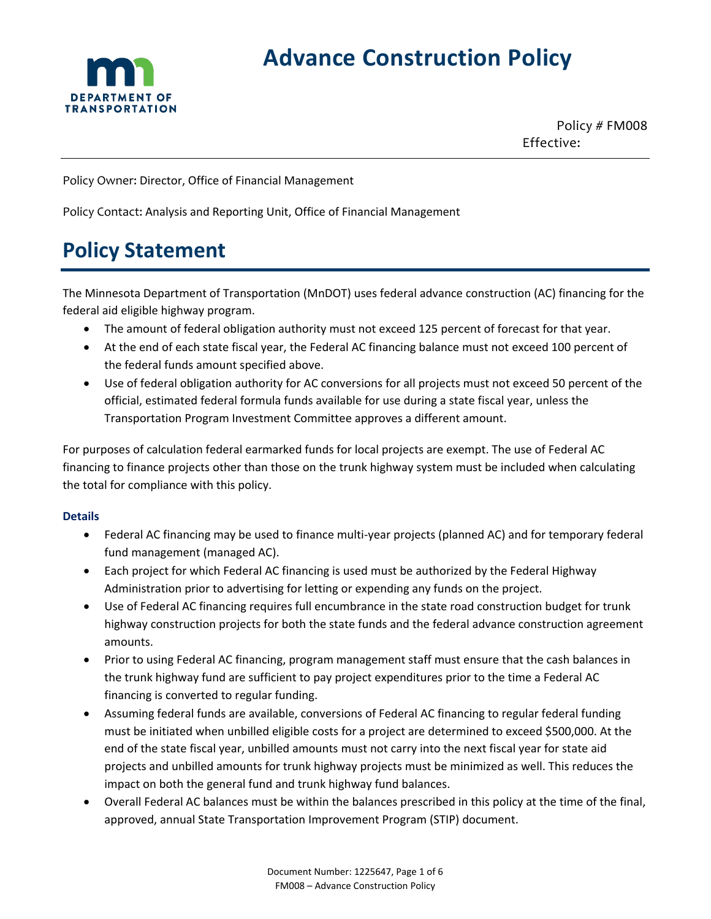

# **Advance Construction Policy**

Policy # FM008 Effective:

Policy Owner: Director, Office of Financial Management

Policy Contact: Analysis and Reporting Unit, Office of Financial Management

## **Policy Statement**

The Minnesota Department of Transportation (MnDOT) uses federal advance construction (AC) financing for the federal aid eligible highway program.

- The amount of federal obligation authority must not exceed 125 percent of forecast for that year.
- At the end of each state fiscal year, the Federal AC financing balance must not exceed 100 percent of the federal funds amount specified above.
- Use of federal obligation authority for AC conversions for all projects must not exceed 50 percent of the official, estimated federal formula funds available for use during a state fiscal year, unless the Transportation Program Investment Committee approves a different amount.

For purposes of calculation federal earmarked funds for local projects are exempt. The use of Federal AC financing to finance projects other than those on the trunk highway system must be included when calculating the total for compliance with this policy.

#### **Details**

- Federal AC financing may be used to finance multi-year projects (planned AC) and for temporary federal fund management (managed AC).
- Each project for which Federal AC financing is used must be authorized by the Federal Highway Administration prior to advertising for letting or expending any funds on the project.
- Use of Federal AC financing requires full encumbrance in the state road construction budget for trunk highway construction projects for both the state funds and the federal advance construction agreement amounts.
- Prior to using Federal AC financing, program management staff must ensure that the cash balances in the trunk highway fund are sufficient to pay project expenditures prior to the time a Federal AC financing is converted to regular funding.
- Assuming federal funds are available, conversions of Federal AC financing to regular federal funding must be initiated when unbilled eligible costs for a project are determined to exceed \$500,000. At the end of the state fiscal year, unbilled amounts must not carry into the next fiscal year for state aid projects and unbilled amounts for trunk highway projects must be minimized as well. This reduces the impact on both the general fund and trunk highway fund balances.
- Overall Federal AC balances must be within the balances prescribed in this policy at the time of the final, approved, annual State Transportation Improvement Program (STIP) document.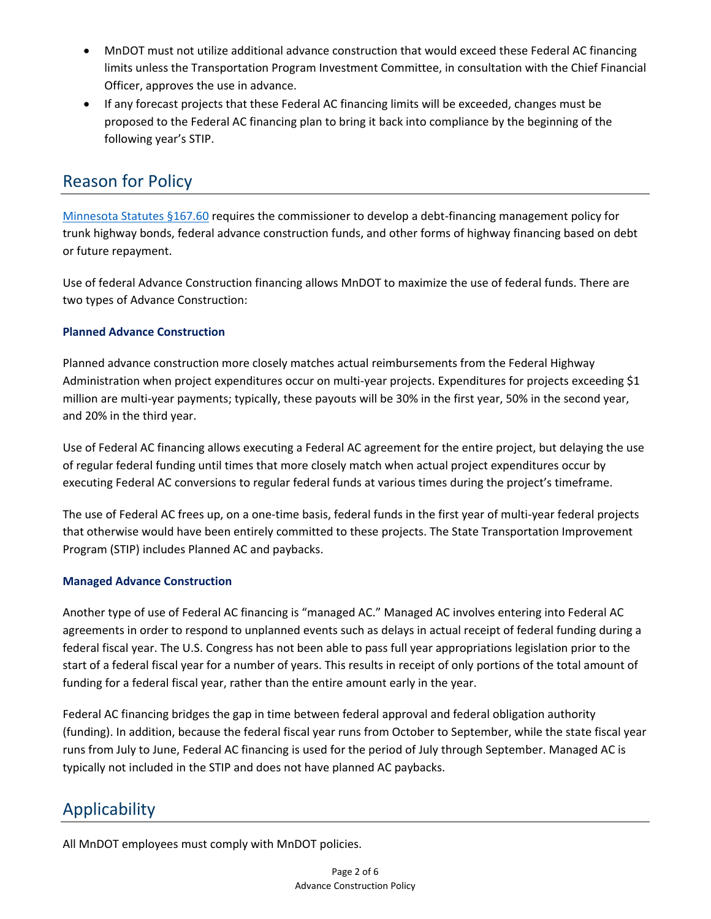- MnDOT must not utilize additional advance construction that would exceed these Federal AC financing limits unless the Transportation Program Investment Committee, in consultation with the Chief Financial Officer, approves the use in advance.
- If any forecast projects that these Federal AC financing limits will be exceeded, changes must be proposed to the Federal AC financing plan to bring it back into compliance by the beginning of the following year's STIP.

### Reason for Policy

[Minnesota Statutes §167.60](https://www.revisor.mn.gov/statutes/cite/167.60) requires the commissioner to develop a debt-financing management policy for trunk highway bonds, federal advance construction funds, and other forms of highway financing based on debt or future repayment.

Use of federal Advance Construction financing allows MnDOT to maximize the use of federal funds. There are two types of Advance Construction:

#### **Planned Advance Construction**

Planned advance construction more closely matches actual reimbursements from the Federal Highway Administration when project expenditures occur on multi-year projects. Expenditures for projects exceeding \$1 million are multi-year payments; typically, these payouts will be 30% in the first year, 50% in the second year, and 20% in the third year.

Use of Federal AC financing allows executing a Federal AC agreement for the entire project, but delaying the use of regular federal funding until times that more closely match when actual project expenditures occur by executing Federal AC conversions to regular federal funds at various times during the project's timeframe.

The use of Federal AC frees up, on a one-time basis, federal funds in the first year of multi-year federal projects that otherwise would have been entirely committed to these projects. The State Transportation Improvement Program (STIP) includes Planned AC and paybacks.

#### **Managed Advance Construction**

Another type of use of Federal AC financing is "managed AC." Managed AC involves entering into Federal AC agreements in order to respond to unplanned events such as delays in actual receipt of federal funding during a federal fiscal year. The U.S. Congress has not been able to pass full year appropriations legislation prior to the start of a federal fiscal year for a number of years. This results in receipt of only portions of the total amount of funding for a federal fiscal year, rather than the entire amount early in the year.

Federal AC financing bridges the gap in time between federal approval and federal obligation authority (funding). In addition, because the federal fiscal year runs from October to September, while the state fiscal year runs from July to June, Federal AC financing is used for the period of July through September. Managed AC is typically not included in the STIP and does not have planned AC paybacks.

### Applicability

All MnDOT employees must comply with MnDOT policies.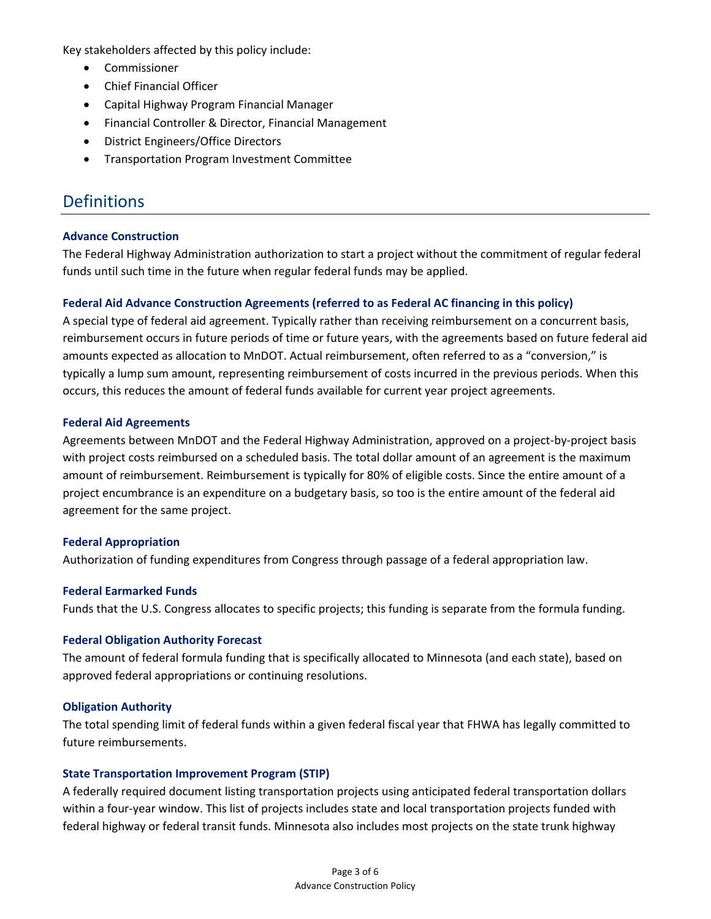Key stakeholders affected by this policy include:

- Commissioner
- Chief Financial Officer
- Capital Highway Program Financial Manager
- Financial Controller & Director, Financial Management
- District Engineers/Office Directors
- Transportation Program Investment Committee

### **Definitions**

#### **Advance Construction**

The Federal Highway Administration authorization to start a project without the commitment of regular federal funds until such time in the future when regular federal funds may be applied.

#### **Federal Aid Advance Construction Agreements (referred to as Federal AC financing in this policy)**

A special type of federal aid agreement. Typically rather than receiving reimbursement on a concurrent basis, reimbursement occurs in future periods of time or future years, with the agreements based on future federal aid amounts expected as allocation to MnDOT. Actual reimbursement, often referred to as a "conversion," is typically a lump sum amount, representing reimbursement of costs incurred in the previous periods. When this occurs, this reduces the amount of federal funds available for current year project agreements.

#### **Federal Aid Agreements**

Agreements between MnDOT and the Federal Highway Administration, approved on a project-by-project basis with project costs reimbursed on a scheduled basis. The total dollar amount of an agreement is the maximum amount of reimbursement. Reimbursement is typically for 80% of eligible costs. Since the entire amount of a project encumbrance is an expenditure on a budgetary basis, so too is the entire amount of the federal aid agreement for the same project.

#### **Federal Appropriation**

Authorization of funding expenditures from Congress through passage of a federal appropriation law.

#### **Federal Earmarked Funds**

Funds that the U.S. Congress allocates to specific projects; this funding is separate from the formula funding.

#### **Federal Obligation Authority Forecast**

The amount of federal formula funding that is specifically allocated to Minnesota (and each state), based on approved federal appropriations or continuing resolutions.

#### **Obligation Authority**

The total spending limit of federal funds within a given federal fiscal year that FHWA has legally committed to future reimbursements.

#### **State Transportation Improvement Program (STIP)**

A federally required document listing transportation projects using anticipated federal transportation dollars within a four-year window. This list of projects includes state and local transportation projects funded with federal highway or federal transit funds. Minnesota also includes most projects on the state trunk highway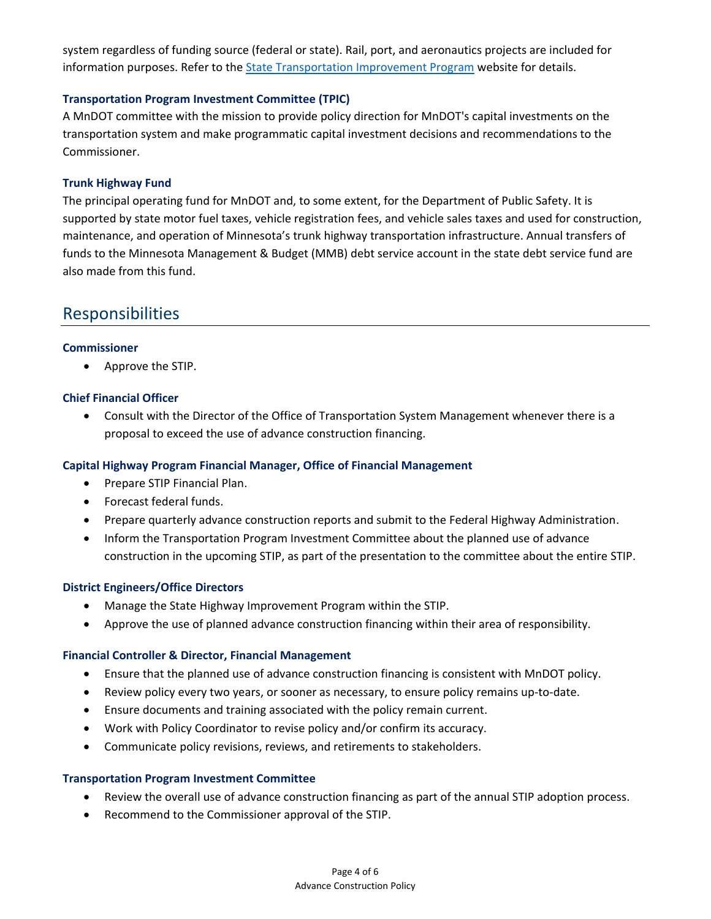system regardless of funding source (federal or state). Rail, port, and aeronautics projects are included for information purposes. Refer to the [State Transportation Improvement Program](http://www.dot.state.mn.us/planning/program/stip.html) website for details.

#### **Transportation Program Investment Committee (TPIC)**

A MnDOT committee with the mission to provide policy direction for MnDOT's capital investments on the transportation system and make programmatic capital investment decisions and recommendations to the Commissioner.

#### **Trunk Highway Fund**

The principal operating fund for MnDOT and, to some extent, for the Department of Public Safety. It is supported by state motor fuel taxes, vehicle registration fees, and vehicle sales taxes and used for construction, maintenance, and operation of Minnesota's trunk highway transportation infrastructure. Annual transfers of funds to the Minnesota Management & Budget (MMB) debt service account in the state debt service fund are also made from this fund.

### Responsibilities

#### **Commissioner**

• Approve the STIP.

#### **Chief Financial Officer**

• Consult with the Director of the Office of Transportation System Management whenever there is a proposal to exceed the use of advance construction financing.

#### **Capital Highway Program Financial Manager, Office of Financial Management**

- Prepare STIP Financial Plan.
- Forecast federal funds.
- Prepare quarterly advance construction reports and submit to the Federal Highway Administration.
- Inform the Transportation Program Investment Committee about the planned use of advance construction in the upcoming STIP, as part of the presentation to the committee about the entire STIP.

#### **District Engineers/Office Directors**

- Manage the State Highway Improvement Program within the STIP.
- Approve the use of planned advance construction financing within their area of responsibility.

#### **Financial Controller & Director, Financial Management**

- Ensure that the planned use of advance construction financing is consistent with MnDOT policy.
- Review policy every two years, or sooner as necessary, to ensure policy remains up-to-date.
- Ensure documents and training associated with the policy remain current.
- Work with Policy Coordinator to revise policy and/or confirm its accuracy.
- Communicate policy revisions, reviews, and retirements to stakeholders.

#### **Transportation Program Investment Committee**

- Review the overall use of advance construction financing as part of the annual STIP adoption process.
- Recommend to the Commissioner approval of the STIP.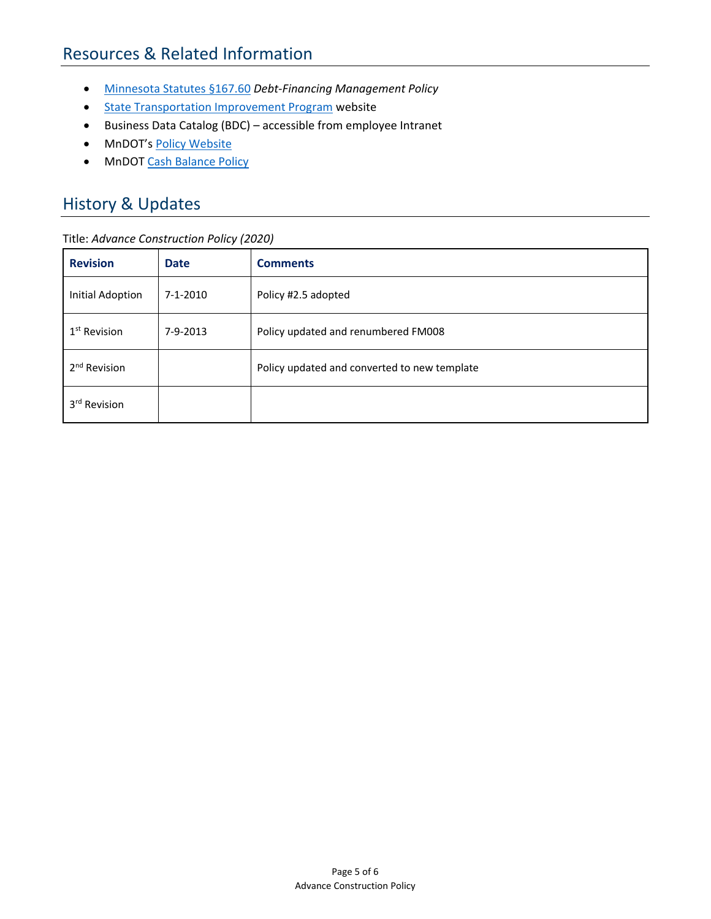### Resources & Related Information

- [Minnesota Statutes §167.60](https://www.revisor.mn.gov/statutes/?id=167.60) *Debt-Financing Management Policy*
- [State Transportation Improvement Program](http://www.dot.state.mn.us/planning/program/stip.html) website
- Business Data Catalog (BDC) accessible from employee Intranet
- MnDOT's [Policy Website](http://www.dot.state.mn.us/policy/index.html)
- MnDOT [Cash Balance Policy](http://www.dot.state.mn.us/policy/financial/fm005.html)

### History & Updates

#### Title: *Advance Construction Policy (2020)*

| <b>Revision</b>          | <b>Date</b>    | <b>Comments</b>                              |
|--------------------------|----------------|----------------------------------------------|
| <b>Initial Adoption</b>  | $7 - 1 - 2010$ | Policy #2.5 adopted                          |
| 1 <sup>st</sup> Revision | 7-9-2013       | Policy updated and renumbered FM008          |
| 2 <sup>nd</sup> Revision |                | Policy updated and converted to new template |
| 3 <sup>rd</sup> Revision |                |                                              |